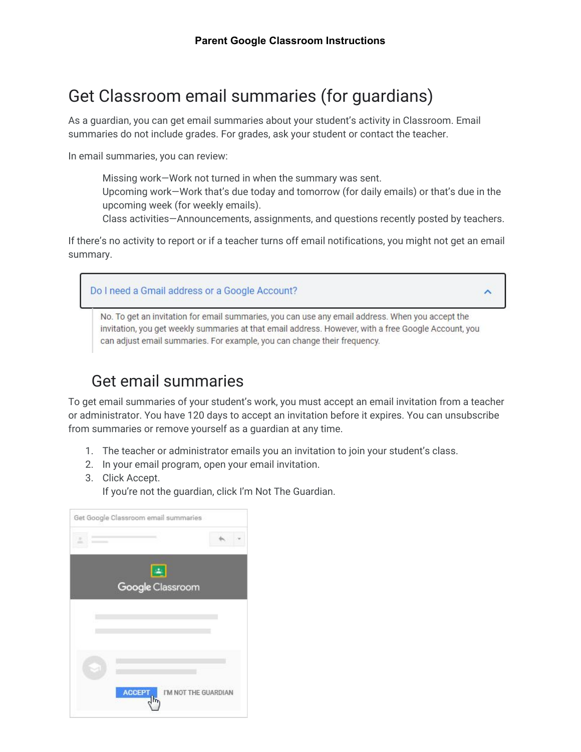## Get Classroom email summaries (for guardians)

As a guardian, you can get email summaries about your student's activity in Classroom. Email summaries do not include grades. For grades, ask your student or contact the teacher.

In email summaries, you can review:

Missing work—Work not turned in when the summary was sent. Upcoming work—Work that's due today and tomorrow (for daily emails) or that's due in the upcoming week (for weekly emails).

Class activities—Announcements, assignments, and questions recently posted by teachers.

If there's no activity to report or if a teacher turns off email notifications, you might not get an email summary.



No. To get an invitation for email summaries, you can use any email address. When you accept the invitation, you get weekly summaries at that email address. However, with a free Google Account, you can adjust email summaries. For example, you can change their frequency.

## Get email summaries

To get email summaries of your student's work, you must accept an email invitation from a teacher or administrator. You have 120 days to accept an invitation before it expires. You can unsubscribe from summaries or remove yourself as a guardian at any time.

- 1. The teacher or administrator emails you an invitation to join your student's class.
- 2. In your email program, open your email invitation.
- 3. Click Accept.

If you're not the guardian, click I'm Not The Guardian.

| Get Google Classroom email summaries |                      |
|--------------------------------------|----------------------|
|                                      |                      |
| $\left  \frac{1}{2} \right $         |                      |
| Google Classroom                     |                      |
|                                      |                      |
|                                      |                      |
|                                      |                      |
|                                      |                      |
|                                      |                      |
| <b>ACCEPT</b><br>ħ                   | I'M NOT THE GUARDIAN |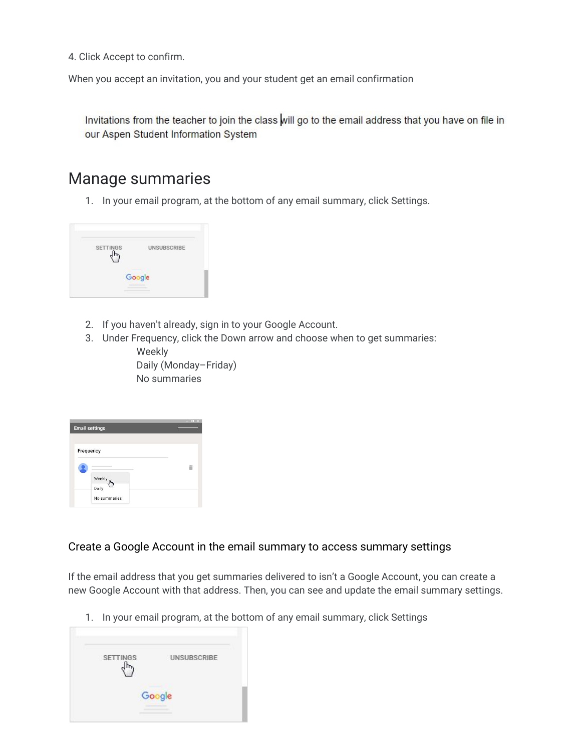4. Click Accept to confirm.

When you accept an invitation, you and your student get an email confirmation

Invitations from the teacher to join the class will go to the email address that you have on file in our Aspen Student Information System

## Manage summaries

1. In your email program, at the bottom of any email summary, click Settings.



- 2. If you haven't already, sign in to your Google Account.
- 3. Under Frequency, click the Down arrow and choose when to get summaries: Weekly

Daily (Monday–Friday) No summaries

| <b>Email settings</b> | E X |
|-----------------------|-----|
| Frequency             |     |
|                       |     |
| Weekly<br>վեր         |     |
| Daily                 |     |
| No summaries          |     |

## Create a Google Account in the email summary to access summary settings

If the email address that you get summaries delivered to isn't a Google Account, you can create a new Google Account with that address. Then, you can see and update the email summary settings.

1. In your email program, at the bottom of any email summary, click Settings